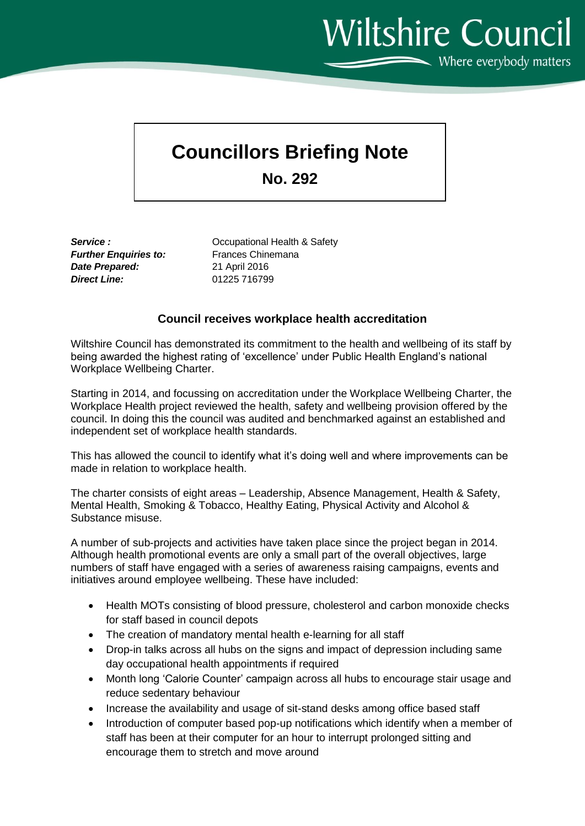Wiltshire Council  $\sum$  Where everybody matters

## **Councillors Briefing Note**

**No. 292**

*Further Enquiries to:* Frances Chinemana *Date Prepared:* 21 April 2016 *Direct Line:* 01225 716799

**Service : Community COCCO** COCUPATIONAL Health & Safety

## **Council receives workplace health accreditation**

Wiltshire Council has demonstrated its commitment to the health and wellbeing of its staff by being awarded the highest rating of 'excellence' under Public Health England's national Workplace Wellbeing Charter.

Starting in 2014, and focussing on accreditation under the Workplace Wellbeing Charter, the Workplace Health project reviewed the health, safety and wellbeing provision offered by the council. In doing this the council was audited and benchmarked against an established and independent set of workplace health standards.

This has allowed the council to identify what it's doing well and where improvements can be made in relation to workplace health.

The charter consists of eight areas – Leadership, Absence Management, Health & Safety, Mental Health, Smoking & Tobacco, Healthy Eating, Physical Activity and Alcohol & Substance misuse.

A number of sub-projects and activities have taken place since the project began in 2014. Although health promotional events are only a small part of the overall objectives, large numbers of staff have engaged with a series of awareness raising campaigns, events and initiatives around employee wellbeing. These have included:

- Health MOTs consisting of blood pressure, cholesterol and carbon monoxide checks for staff based in council depots
- The creation of mandatory mental health e-learning for all staff
- Drop-in talks across all hubs on the signs and impact of depression including same day occupational health appointments if required
- Month long 'Calorie Counter' campaign across all hubs to encourage stair usage and reduce sedentary behaviour
- Increase the availability and usage of sit-stand desks among office based staff
- Introduction of computer based pop-up notifications which identify when a member of staff has been at their computer for an hour to interrupt prolonged sitting and encourage them to stretch and move around